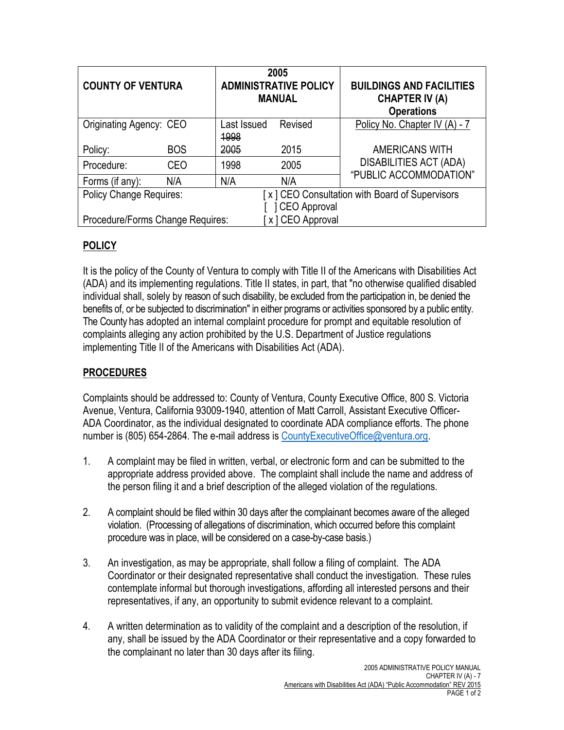| <b>COUNTY OF VENTURA</b>         |            | 2005<br><b>ADMINISTRATIVE POLICY</b><br><b>MANUAL</b> |                                                | <b>BUILDINGS AND FACILITIES</b><br><b>CHAPTER IV (A)</b><br><b>Operations</b> |
|----------------------------------|------------|-------------------------------------------------------|------------------------------------------------|-------------------------------------------------------------------------------|
| Originating Agency: CEO          |            | Last Issued<br>1998                                   | Revised                                        | Policy No. Chapter IV (A) - 7                                                 |
| Policy:                          | <b>BOS</b> | 2005                                                  | 2015                                           | <b>AMERICANS WITH</b>                                                         |
| Procedure:                       | CEO        | 1998                                                  | 2005                                           | <b>DISABILITIES ACT (ADA)</b><br>"PUBLIC ACCOMMODATION"                       |
| Forms (if any):                  | N/A        | N/A                                                   | N/A                                            |                                                                               |
| <b>Policy Change Requires:</b>   |            |                                                       | [x] CEO Consultation with Board of Supervisors |                                                                               |
|                                  |            |                                                       | CEO Approval                                   |                                                                               |
| Procedure/Forms Change Requires: |            |                                                       | x ] CEO Approval                               |                                                                               |

## **POLICY**

It is the policy of the County of Ventura to comply with Title II of the Americans with Disabilities Act (ADA) and its implementing regulations. Title II states, in part, that "no otherwise qualified disabled individual shall, solely by reason of such disability, be excluded from the participation in, be denied the benefits of, or be subjected to discrimination" in either programs or activities sponsored by a public entity. The County has adopted an internal complaint procedure for prompt and equitable resolution of complaints alleging any action prohibited by the U.S. Department of Justice regulations implementing Title II of the Americans with Disabilities Act (ADA).

## **PROCEDURES**

Complaints should be addressed to: County of Ventura, County Executive Office, 800 S. Victoria Avenue, Ventura, California 93009-1940, attention of Matt Carroll, Assistant Executive Officer-ADA Coordinator, as the individual designated to coordinate ADA compliance efforts. The phone number is (805) 654-2864. The e-mail address is County Executive Office @ventura.org.

- 1. A complaint may be filed in written, verbal, or electronic form and can be submitted to the appropriate address provided above. The complaint shall include the name and address of the person filing it and a brief description of the alleged violation of the regulations.
- 2. A complaint should be filed within 30 days after the complainant becomes aware of the alleged violation. (Processing of allegations of discrimination, which occurred before this complaint procedure was in place, will be considered on a case-by-case basis.)
- 3. An investigation, as may be appropriate, shall follow a filing of complaint. The ADA Coordinator or their designated representative shall conduct the investigation. These rules contemplate informal but thorough investigations, affording all interested persons and their representatives, if any, an opportunity to submit evidence relevant to a complaint.
- 4. A written determination as to validity of the complaint and a description of the resolution, if any, shall be issued by the ADA Coordinator or their representative and a copy forwarded to the complainant no later than 30 days after its filing.